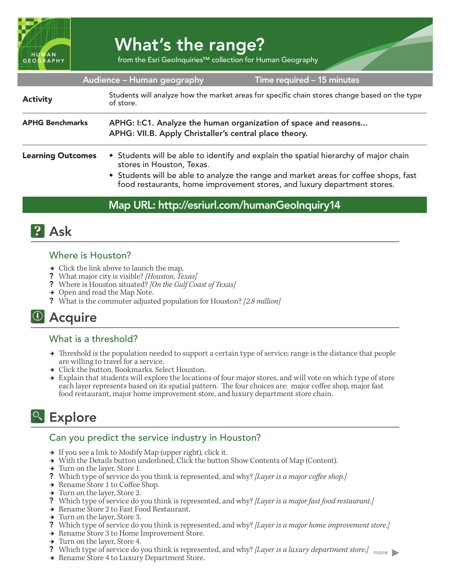

# What's the range?

from the Esri GeoInquiries™ collection for Human Geography

| Audience - Human geography<br>Time required - 15 minutes |                                                                                                                                                                                                                                                                                       |
|----------------------------------------------------------|---------------------------------------------------------------------------------------------------------------------------------------------------------------------------------------------------------------------------------------------------------------------------------------|
| <b>Activity</b>                                          | Students will analyze how the market areas for specific chain stores change based on the type<br>of store.                                                                                                                                                                            |
| <b>APHG Benchmarks</b>                                   | APHG: I:C1. Analyze the human organization of space and reasons<br>APHG: VII.B. Apply Christaller's central place theory.                                                                                                                                                             |
| <b>Learning Outcomes</b>                                 | • Students will be able to identify and explain the spatial hierarchy of major chain<br>stores in Houston, Texas.<br>• Students will be able to analyze the range and market areas for coffee shops, fast<br>food restaurants, home improvement stores, and luxury department stores. |

### Map URL: http://esriurl.com/humanGeoInquiry14



#### Where is Houston?

- $\rightarrow$  Click the link above to launch the map.
- ? What major city is visible? *[Houston, Texas]*
- ? Where is Houston situated? *[On the Gulf Coast of Texas]*
- $\rightarrow$  Open and read the Map Note.
- ? What is the commuter adjusted population for Houston? *[2.8 million]*

## <sup>(1)</sup> Acquire

#### What is a threshold?

- → Threshold is the population needed to support a certain type of service; range is the distance that people are willing to travel for a service.
- **→** Click the button, Bookmarks. Select Houston.
- **→** Explain that students will explore the locations of four major stores, and will vote on which type of store each layer represents based on its spatial pattern. The four choices are: major coffee shop, major fast food restaurant, major home improvement store, and luxury department store chain.

# <sup>o</sup> Explore

#### Can you predict the service industry in Houston?

- $\rightarrow$  If you see a link to Modify Map (upper right), click it.
- → With the Details button underlined, Click the button Show Contents of Map (Content).
- $\rightarrow$  Turn on the layer, Store 1.
- ? Which type of service do you think is represented, and why? *[Layer is a major coffee shop.]*
- → Rename Store 1 to Coffee Shop.
- $\rightarrow$  Turn on the layer, Store 2.
- ? Which type of service do you think is represented, and why? *[Layer is a major fast food restaurant.]*
- → Rename Store 2 to Fast Food Restaurant.
- → Turn on the layer, Store 3.
- ? Which type of service do you think is represented, and why? *[Layer is a major home improvement store.]*
- → Rename Store 3 to Home Improvement Store.
- → Turn on the layer, Store 4.
- ? Which type of service do you think is represented, and why? *[Layer is a luxury department store.]* <sub>more</sub> → Rename Store 4 to Luxury Department Store.
-